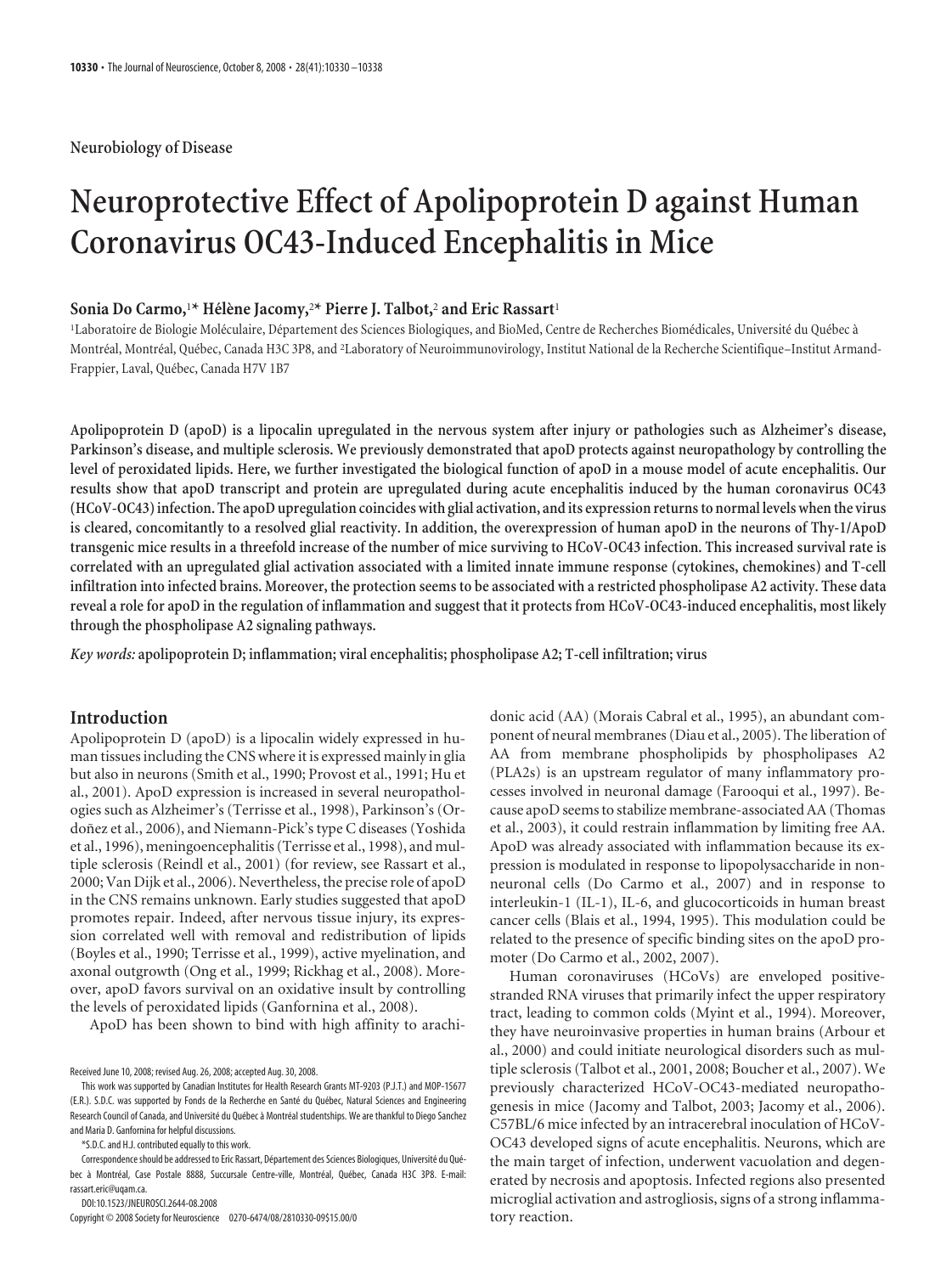**Neurobiology of Disease**

# **Neuroprotective Effect of Apolipoprotein D against Human Coronavirus OC43-Induced Encephalitis in Mice**

# $\text{Sonia Do Carmo,}^{\text{1*}} \text{ Hélène Jacob}^{\text{2*}} \text{ Pierre J. Talbot,}^{\text{2}} \text{ and Eric Rassart}^{\text{1}}$

'Laboratoire de Biologie Moléculaire, Département des Sciences Biologiques, and BioMed, Centre de Recherches Biomédicales, Université du Québec à Montréal, Montréal, Québec, Canada H3C 3P8, and <sup>2</sup>Laboratory of Neuroimmunovirology, Institut National de la Recherche Scientifique–Institut Armand-Frappier, Laval, Québec, Canada H7V 1B7

**Apolipoprotein D (apoD) is a lipocalin upregulated in the nervous system after injury or pathologies such as Alzheimer's disease, Parkinson's disease, and multiple sclerosis. We previously demonstrated that apoD protects against neuropathology by controlling the level of peroxidated lipids. Here, we further investigated the biological function of apoD in a mouse model of acute encephalitis. Our results show that apoD transcript and protein are upregulated during acute encephalitis induced by the human coronavirus OC43 (HCoV-OC43) infection. The apoD upregulation coincides with glial activation, and its expression returnsto normal levels whenthe virus is cleared, concomitantly to a resolved glial reactivity. In addition, the overexpression of human apoD in the neurons of Thy-1/ApoD transgenic mice results in a threefold increase of the number of mice surviving to HCoV-OC43 infection. This increased survival rate is correlated with an upregulated glial activation associated with a limited innate immune response (cytokines, chemokines) and T-cell infiltration into infected brains. Moreover, the protection seems to be associated with a restricted phospholipase A2 activity. These data reveal a role for apoD in the regulation of inflammation and suggest that it protects from HCoV-OC43-induced encephalitis, most likely through the phospholipase A2 signaling pathways.**

*Key words:* **apolipoprotein D; inflammation; viral encephalitis; phospholipase A2; T-cell infiltration; virus**

# **Introduction**

Apolipoprotein D (apoD) is a lipocalin widely expressed in human tissues including the CNS where it is expressed mainly in glia but also in neurons (Smith et al., 1990; Provost et al., 1991; Hu et al., 2001). ApoD expression is increased in several neuropathologies such as Alzheimer's (Terrisse et al., 1998), Parkinson's (Ordoñez et al., 2006), and Niemann-Pick's type C diseases (Yoshida et al., 1996), meningoencephalitis (Terrisse et al., 1998), and multiple sclerosis (Reindl et al., 2001) (for review, see Rassart et al., 2000; Van Dijk et al., 2006). Nevertheless, the precise role of apoD in the CNS remains unknown. Early studies suggested that apoD promotes repair. Indeed, after nervous tissue injury, its expression correlated well with removal and redistribution of lipids (Boyles et al., 1990; Terrisse et al., 1999), active myelination, and axonal outgrowth (Ong et al., 1999; Rickhag et al., 2008). Moreover, apoD favors survival on an oxidative insult by controlling the levels of peroxidated lipids (Ganfornina et al., 2008).

ApoD has been shown to bind with high affinity to arachi-

DOI:10.1523/JNEUROSCI.2644-08.2008

Copyright © 2008 Society for Neuroscience 0270-6474/08/2810330-09\$15.00/0

donic acid (AA) (Morais Cabral et al., 1995), an abundant component of neural membranes (Diau et al., 2005). The liberation of AA from membrane phospholipids by phospholipases A2 (PLA2s) is an upstream regulator of many inflammatory processes involved in neuronal damage (Farooqui et al., 1997). Because apoD seems to stabilize membrane-associated AA (Thomas et al., 2003), it could restrain inflammation by limiting free AA. ApoD was already associated with inflammation because its expression is modulated in response to lipopolysaccharide in nonneuronal cells (Do Carmo et al., 2007) and in response to interleukin-1 (IL-1), IL-6, and glucocorticoids in human breast cancer cells (Blais et al., 1994, 1995). This modulation could be related to the presence of specific binding sites on the apoD promoter (Do Carmo et al., 2002, 2007).

Human coronaviruses (HCoVs) are enveloped positivestranded RNA viruses that primarily infect the upper respiratory tract, leading to common colds (Myint et al., 1994). Moreover, they have neuroinvasive properties in human brains (Arbour et al., 2000) and could initiate neurological disorders such as multiple sclerosis (Talbot et al., 2001, 2008; Boucher et al., 2007). We previously characterized HCoV-OC43-mediated neuropathogenesis in mice (Jacomy and Talbot, 2003; Jacomy et al., 2006). C57BL/6 mice infected by an intracerebral inoculation of HCoV-OC43 developed signs of acute encephalitis. Neurons, which are the main target of infection, underwent vacuolation and degenerated by necrosis and apoptosis. Infected regions also presented microglial activation and astrogliosis, signs of a strong inflammatory reaction.

Received June 10, 2008; revised Aug. 26, 2008; accepted Aug. 30, 2008.

This work was supported by Canadian Institutes for Health Research Grants MT-9203 (P.J.T.) and MOP-15677 (E.R.). S.D.C. was supported by Fonds de la Recherche en Santé du Québec, Natural Sciences and Engineering Research Council of Canada, and Université du Québec à Montréal studentships. We are thankful to Diego Sanchez and Maria D. Ganfornina for helpful discussions.

<sup>\*</sup>S.D.C. and H.J. contributed equally to this work.

Correspondence should be addressed to Eric Rassart, Département des Sciences Biologiques, Université du Québec à Montréal, Case Postale 8888, Succursale Centre-ville, Montréal, Québec, Canada H3C 3P8. E-mail: rassart.eric@uqam.ca.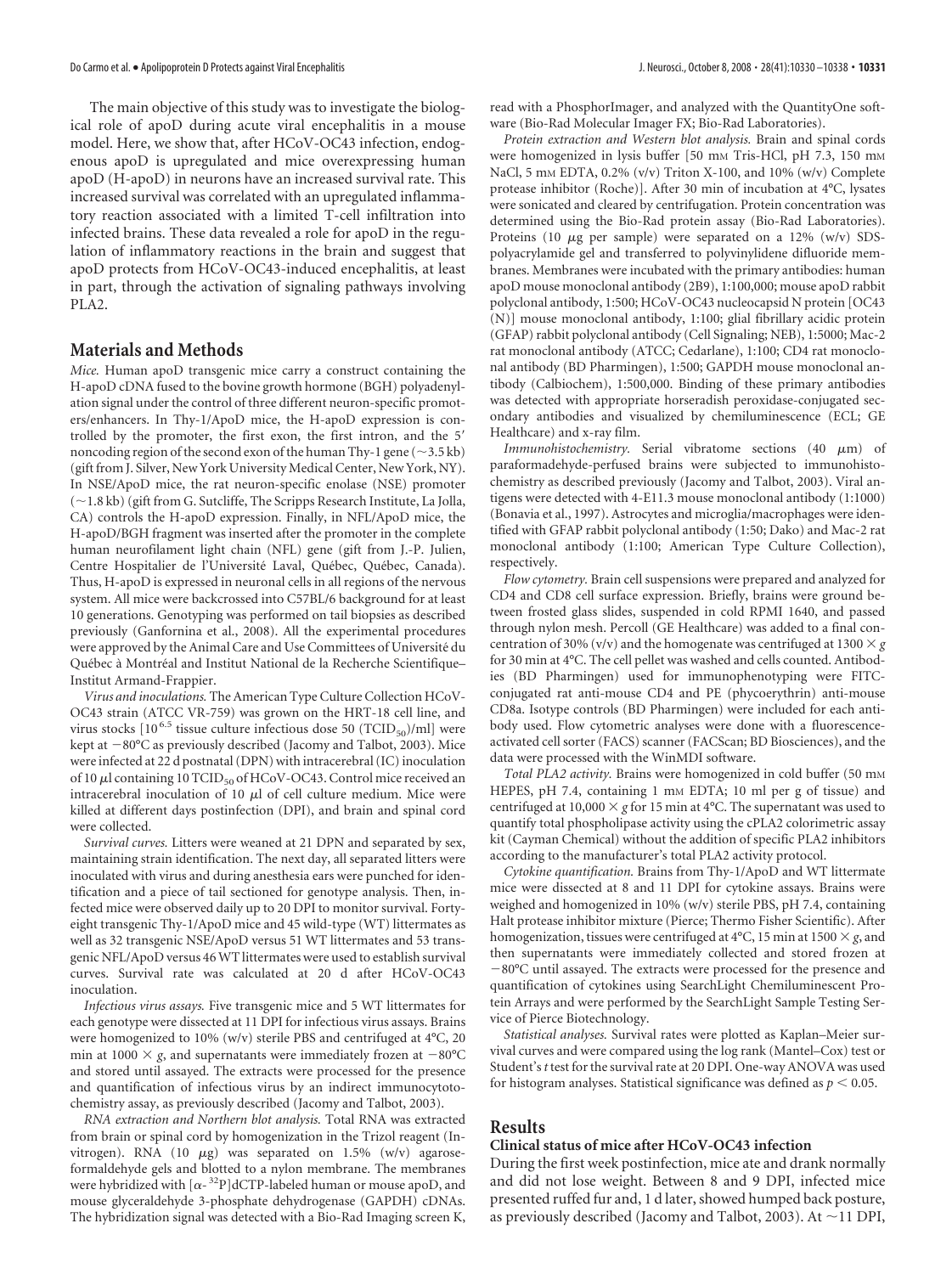The main objective of this study was to investigate the biological role of apoD during acute viral encephalitis in a mouse model. Here, we show that, after HCoV-OC43 infection, endogenous apoD is upregulated and mice overexpressing human apoD (H-apoD) in neurons have an increased survival rate. This increased survival was correlated with an upregulated inflammatory reaction associated with a limited T-cell infiltration into infected brains. These data revealed a role for apoD in the regulation of inflammatory reactions in the brain and suggest that apoD protects from HCoV-OC43-induced encephalitis, at least in part, through the activation of signaling pathways involving PLA2.

# **Materials and Methods**

*Mice.* Human apoD transgenic mice carry a construct containing the H-apoD cDNA fused to the bovine growth hormone (BGH) polyadenylation signal under the control of three different neuron-specific promoters/enhancers. In Thy-1/ApoD mice, the H-apoD expression is controlled by the promoter, the first exon, the first intron, and the 5 noncoding region of the second exon of the human Thy-1 gene ( $\sim$ 3.5 kb) (gift from J. Silver, New York University Medical Center, New York, NY). In NSE/ApoD mice, the rat neuron-specific enolase (NSE) promoter (~1.8 kb) (gift from G. Sutcliffe, The Scripps Research Institute, La Jolla, CA) controls the H-apoD expression. Finally, in NFL/ApoD mice, the H-apoD/BGH fragment was inserted after the promoter in the complete human neurofilament light chain (NFL) gene (gift from J.-P. Julien, Centre Hospitalier de l'Université Laval, Québec, Québec, Canada). Thus, H-apoD is expressed in neuronal cells in all regions of the nervous system. All mice were backcrossed into C57BL/6 background for at least 10 generations. Genotyping was performed on tail biopsies as described previously (Ganfornina et al., 2008). All the experimental procedures were approved by the Animal Care and Use Committees of Université du Québec à Montréal and Institut National de la Recherche Scientifique– Institut Armand-Frappier.

*Virus and inoculations.* The American Type Culture Collection HCoV-OC43 strain (ATCC VR-759) was grown on the HRT-18 cell line, and virus stocks  $[10^{6.5}$  tissue culture infectious dose 50 (TCID<sub>50</sub>)/ml] were kept at  $-80^{\circ}$ C as previously described (Jacomy and Talbot, 2003). Mice were infected at 22 d postnatal (DPN) with intracerebral (IC) inoculation of 10  $\mu$ l containing 10 TCID<sub>50</sub> of HCoV-OC43. Control mice received an intracerebral inoculation of 10  $\mu$ l of cell culture medium. Mice were killed at different days postinfection (DPI), and brain and spinal cord were collected.

*Survival curves.* Litters were weaned at 21 DPN and separated by sex, maintaining strain identification. The next day, all separated litters were inoculated with virus and during anesthesia ears were punched for identification and a piece of tail sectioned for genotype analysis. Then, infected mice were observed daily up to 20 DPI to monitor survival. Fortyeight transgenic Thy-1/ApoD mice and 45 wild-type (WT) littermates as well as 32 transgenic NSE/ApoD versus 51 WT littermates and 53 transgenic NFL/ApoD versus 46WT littermates were used to establish survival curves. Survival rate was calculated at 20 d after HCoV-OC43 inoculation.

*Infectious virus assays.* Five transgenic mice and 5 WT littermates for each genotype were dissected at 11 DPI for infectious virus assays. Brains were homogenized to 10% (w/v) sterile PBS and centrifuged at 4°C, 20 min at 1000  $\times$  g, and supernatants were immediately frozen at  $-80^{\circ}$ C and stored until assayed. The extracts were processed for the presence and quantification of infectious virus by an indirect immunocytotochemistry assay, as previously described (Jacomy and Talbot, 2003).

*RNA extraction and Northern blot analysis.* Total RNA was extracted from brain or spinal cord by homogenization in the Trizol reagent (Invitrogen). RNA (10  $\mu$ g) was separated on 1.5% (w/v) agaroseformaldehyde gels and blotted to a nylon membrane. The membranes were hybridized with  $\left[\alpha - {}^{32}P\right]$ dCTP-labeled human or mouse apoD, and mouse glyceraldehyde 3-phosphate dehydrogenase (GAPDH) cDNAs. The hybridization signal was detected with a Bio-Rad Imaging screen K,

read with a PhosphorImager, and analyzed with the QuantityOne software (Bio-Rad Molecular Imager FX; Bio-Rad Laboratories).

*Protein extraction and Western blot analysis.* Brain and spinal cords were homogenized in lysis buffer [50 mm Tris-HCl, pH 7.3, 150 mm NaCl, 5 mm EDTA, 0.2% (v/v) Triton X-100, and 10% (w/v) Complete protease inhibitor (Roche)]. After 30 min of incubation at 4°C, lysates were sonicated and cleared by centrifugation. Protein concentration was determined using the Bio-Rad protein assay (Bio-Rad Laboratories). Proteins (10  $\mu$ g per sample) were separated on a 12% (w/v) SDSpolyacrylamide gel and transferred to polyvinylidene difluoride membranes. Membranes were incubated with the primary antibodies: human apoD mouse monoclonal antibody (2B9), 1:100,000; mouse apoD rabbit polyclonal antibody, 1:500; HCoV-OC43 nucleocapsid N protein [OC43 (N)] mouse monoclonal antibody, 1:100; glial fibrillary acidic protein (GFAP) rabbit polyclonal antibody (Cell Signaling; NEB), 1:5000; Mac-2 rat monoclonal antibody (ATCC; Cedarlane), 1:100; CD4 rat monoclonal antibody (BD Pharmingen), 1:500; GAPDH mouse monoclonal antibody (Calbiochem), 1:500,000. Binding of these primary antibodies was detected with appropriate horseradish peroxidase-conjugated secondary antibodies and visualized by chemiluminescence (ECL; GE Healthcare) and x-ray film.

*Immunohistochemistry*. Serial vibratome sections (40  $\mu$ m) of paraformadehyde-perfused brains were subjected to immunohistochemistry as described previously (Jacomy and Talbot, 2003). Viral antigens were detected with 4-E11.3 mouse monoclonal antibody (1:1000) (Bonavia et al., 1997). Astrocytes and microglia/macrophages were identified with GFAP rabbit polyclonal antibody (1:50; Dako) and Mac-2 rat monoclonal antibody (1:100; American Type Culture Collection), respectively.

*Flow cytometry.* Brain cell suspensions were prepared and analyzed for CD4 and CD8 cell surface expression. Briefly, brains were ground between frosted glass slides, suspended in cold RPMI 1640, and passed through nylon mesh. Percoll (GE Healthcare) was added to a final concentration of 30% (v/v) and the homogenate was centrifuged at 1300  $\times$  g for 30 min at 4°C. The cell pellet was washed and cells counted. Antibodies (BD Pharmingen) used for immunophenotyping were FITCconjugated rat anti-mouse CD4 and PE (phycoerythrin) anti-mouse CD8a. Isotype controls (BD Pharmingen) were included for each antibody used. Flow cytometric analyses were done with a fluorescenceactivated cell sorter (FACS) scanner (FACScan; BD Biosciences), and the data were processed with the WinMDI software.

Total PLA2 activity. Brains were homogenized in cold buffer (50 mm HEPES, pH 7.4, containing 1 mm EDTA; 10 ml per g of tissue) and centrifuged at 10,000  $\times$  g for 15 min at 4°C. The supernatant was used to quantify total phospholipase activity using the cPLA2 colorimetric assay kit (Cayman Chemical) without the addition of specific PLA2 inhibitors according to the manufacturer's total PLA2 activity protocol.

*Cytokine quantification.* Brains from Thy-1/ApoD and WT littermate mice were dissected at 8 and 11 DPI for cytokine assays. Brains were weighed and homogenized in 10% (w/v) sterile PBS, pH 7.4, containing Halt protease inhibitor mixture (Pierce; Thermo Fisher Scientific). After homogenization, tissues were centrifuged at 4°C, 15 min at 1500  $\times$  g, and then supernatants were immediately collected and stored frozen at -80°C until assayed. The extracts were processed for the presence and quantification of cytokines using SearchLight Chemiluminescent Protein Arrays and were performed by the SearchLight Sample Testing Service of Pierce Biotechnology.

*Statistical analyses.* Survival rates were plotted as Kaplan–Meier survival curves and were compared using the log rank (Mantel–Cox) test or Student's*t* test for the survival rate at 20 DPI. One-way ANOVA was used for histogram analyses. Statistical significance was defined as  $p < 0.05$ .

# **Results**

## **Clinical status of mice after HCoV-OC43 infection**

During the first week postinfection, mice ate and drank normally and did not lose weight. Between 8 and 9 DPI, infected mice presented ruffed fur and, 1 d later, showed humped back posture, as previously described (Jacomy and Talbot, 2003). At  $\sim$ 11 DPI,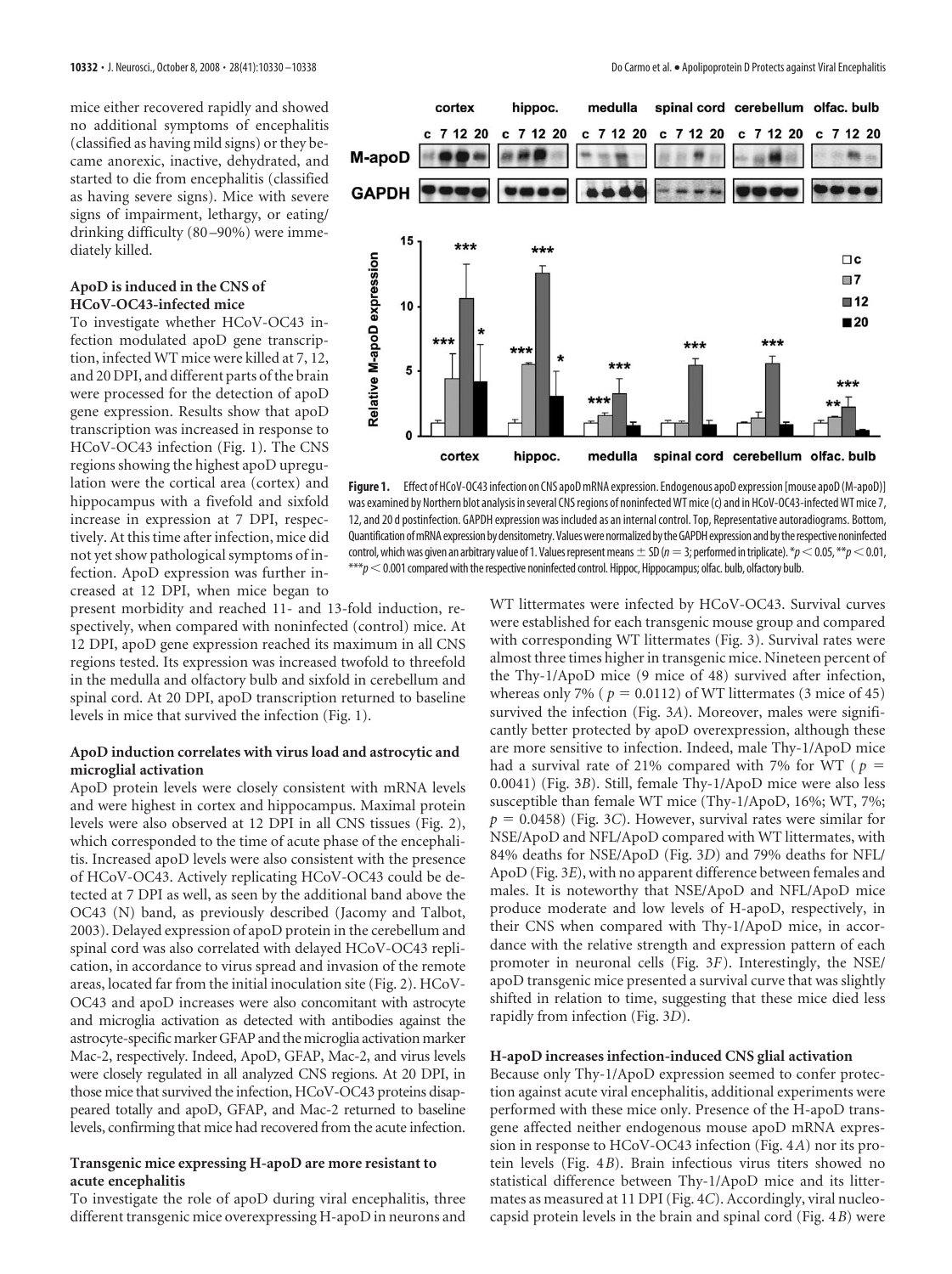mice either recovered rapidly and showed no additional symptoms of encephalitis (classified as having mild signs) or they became anorexic, inactive, dehydrated, and started to die from encephalitis (classified as having severe signs). Mice with severe signs of impairment, lethargy, or eating/ drinking difficulty (80 –90%) were immediately killed.

## **ApoD is induced in the CNS of HCoV-OC43-infected mice**

To investigate whether HCoV-OC43 infection modulated apoD gene transcription, infected WT mice were killed at 7, 12, and 20 DPI, and different parts of the brain were processed for the detection of apoD gene expression. Results show that apoD transcription was increased in response to HCoV-OC43 infection (Fig. 1). The CNS regions showing the highest apoD upregulation were the cortical area (cortex) and hippocampus with a fivefold and sixfold increase in expression at 7 DPI, respectively. At this time after infection, mice did not yet show pathological symptoms of infection. ApoD expression was further increased at 12 DPI, when mice began to

present morbidity and reached 11- and 13-fold induction, respectively, when compared with noninfected (control) mice. At 12 DPI, apoD gene expression reached its maximum in all CNS regions tested. Its expression was increased twofold to threefold in the medulla and olfactory bulb and sixfold in cerebellum and spinal cord. At 20 DPI, apoD transcription returned to baseline levels in mice that survived the infection (Fig. 1).

## **ApoD induction correlates with virus load and astrocytic and microglial activation**

ApoD protein levels were closely consistent with mRNA levels and were highest in cortex and hippocampus. Maximal protein levels were also observed at 12 DPI in all CNS tissues (Fig. 2), which corresponded to the time of acute phase of the encephalitis. Increased apoD levels were also consistent with the presence of HCoV-OC43. Actively replicating HCoV-OC43 could be detected at 7 DPI as well, as seen by the additional band above the OC43 (N) band, as previously described (Jacomy and Talbot, 2003). Delayed expression of apoD protein in the cerebellum and spinal cord was also correlated with delayed HCoV-OC43 replication, in accordance to virus spread and invasion of the remote areas, located far from the initial inoculation site (Fig. 2). HCoV-OC43 and apoD increases were also concomitant with astrocyte and microglia activation as detected with antibodies against the astrocyte-specific marker GFAP and the microglia activation marker Mac-2, respectively. Indeed, ApoD, GFAP, Mac-2, and virus levels were closely regulated in all analyzed CNS regions. At 20 DPI, in those mice that survived the infection, HCoV-OC43 proteins disappeared totally and apoD, GFAP, and Mac-2 returned to baseline levels, confirming that mice had recovered from the acute infection.

## **Transgenic mice expressing H-apoD are more resistant to acute encephalitis**

To investigate the role of apoD during viral encephalitis, three different transgenic mice overexpressing H-apoD in neurons and



Figure 1. Effect of HCoV-OC43 infection on CNS apoD mRNA expression. Endogenous apoD expression [mouse apoD (M-apoD)] was examined by Northern blot analysis in several CNS regions of noninfected WT mice (c) and in HCoV-OC43-infected WT mice 7, 12, and 20 d postinfection. GAPDH expression was included as an internal control. Top, Representative autoradiograms. Bottom, Quantification of mRNA expression by densitometry. Values were normalized by the GAPDH expression and by the respective noninfected control, which was given an arbitrary value of 1. Values represent means  $\pm$  SD ( $n=3$ ; performed in triplicate). \* $p<0.05$ , \*\* $p<0.01$ ,  $***p<$  0.001 compared with the respective noninfected control. Hippoc, Hippocampus; olfac. bulb, olfactory bulb.

WT littermates were infected by HCoV-OC43. Survival curves were established for each transgenic mouse group and compared with corresponding WT littermates (Fig. 3). Survival rates were almost three times higher in transgenic mice. Nineteen percent of the Thy-1/ApoD mice (9 mice of 48) survived after infection, whereas only 7% ( $p = 0.0112$ ) of WT littermates (3 mice of 45) survived the infection (Fig. 3*A*). Moreover, males were significantly better protected by apoD overexpression, although these are more sensitive to infection. Indeed, male Thy-1/ApoD mice had a survival rate of 21% compared with 7% for WT ( $p =$ 0.0041) (Fig. 3*B*). Still, female Thy-1/ApoD mice were also less susceptible than female WT mice (Thy-1/ApoD, 16%; WT, 7%;  $p = 0.0458$  (Fig. 3*C*). However, survival rates were similar for NSE/ApoD and NFL/ApoD compared with WT littermates, with 84% deaths for NSE/ApoD (Fig. 3*D*) and 79% deaths for NFL/ ApoD (Fig. 3*E*), with no apparent difference between females and males. It is noteworthy that NSE/ApoD and NFL/ApoD mice produce moderate and low levels of H-apoD, respectively, in their CNS when compared with Thy-1/ApoD mice, in accordance with the relative strength and expression pattern of each promoter in neuronal cells (Fig. 3*F*). Interestingly, the NSE/ apoD transgenic mice presented a survival curve that was slightly shifted in relation to time, suggesting that these mice died less rapidly from infection (Fig. 3*D*).

## **H-apoD increases infection-induced CNS glial activation**

Because only Thy-1/ApoD expression seemed to confer protection against acute viral encephalitis, additional experiments were performed with these mice only. Presence of the H-apoD transgene affected neither endogenous mouse apoD mRNA expression in response to HCoV-OC43 infection (Fig. 4*A*) nor its protein levels (Fig. 4*B*). Brain infectious virus titers showed no statistical difference between Thy-1/ApoD mice and its littermates as measured at 11 DPI (Fig. 4*C*). Accordingly, viral nucleocapsid protein levels in the brain and spinal cord (Fig. 4*B*) were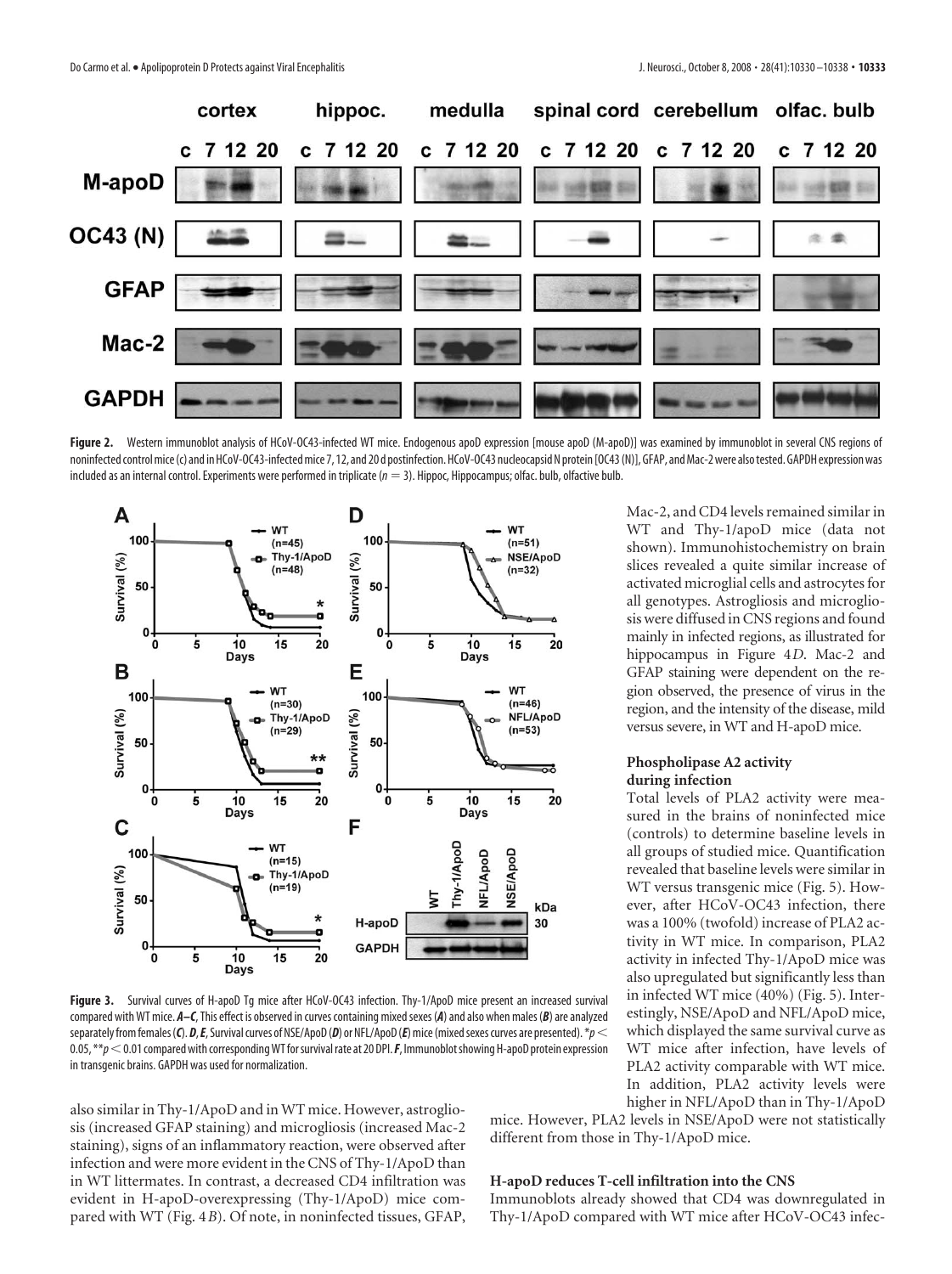

Figure 2. Western immunoblot analysis of HCoV-OC43-infected WT mice. Endogenous apoD expression [mouse apoD (M-apoD)] was examined by immunoblot in several CNS regions of noninfected control mice (c) and in HCoV-OC43-infected mice 7, 12, and 20 d postinfection. HCoV-OC43 nucleocapsid N protein [OC43 (N)], GFAP, and Mac-2 were also tested. GAPDH expression was included as an internal control. Experiments were performed in triplicate ( $n = 3$ ). Hippoc, Hippocampus; olfac. bulb, olfactive bulb.



**Figure 3.** Survival curves of H-apoD Tg mice after HCoV-OC43 infection. Thy-1/ApoD mice present an increased survival compared with WT mice.  $A-C$ , This effect is observed in curves containing mixed sexes (A) and also when males (B) are analyzed separately from females (C). D, E, Survival curves of NSE/ApoD (D) or NFL/ApoD (E) mice (mixed sexes curves are presented). \* $p$  < 0.05, \*\**p*0.01 compared with correspondingWT forsurvivalrate at 20 DPI.*F*, ImmunoblotshowingH-apoD protein expression in transgenic brains. GAPDH was used for normalization.

also similar in Thy-1/ApoD and in WT mice. However, astrogliosis (increased GFAP staining) and microgliosis (increased Mac-2 staining), signs of an inflammatory reaction, were observed after infection and were more evident in the CNS of Thy-1/ApoD than in WT littermates. In contrast, a decreased CD4 infiltration was evident in H-apoD-overexpressing (Thy-1/ApoD) mice compared with WT (Fig. 4*B*). Of note, in noninfected tissues, GFAP,

Mac-2, and CD4 levels remained similar in WT and Thy-1/apoD mice (data not shown). Immunohistochemistry on brain slices revealed a quite similar increase of activated microglial cells and astrocytes for all genotypes. Astrogliosis and microgliosis were diffused in CNS regions and found mainly in infected regions, as illustrated for hippocampus in Figure 4*D*. Mac-2 and GFAP staining were dependent on the region observed, the presence of virus in the region, and the intensity of the disease, mild versus severe, in WT and H-apoD mice.

#### **Phospholipase A2 activity during infection**

Total levels of PLA2 activity were measured in the brains of noninfected mice (controls) to determine baseline levels in all groups of studied mice. Quantification revealed that baseline levels were similar in WT versus transgenic mice (Fig. 5). However, after HCoV-OC43 infection, there was a 100% (twofold) increase of PLA2 activity in WT mice. In comparison, PLA2 activity in infected Thy-1/ApoD mice was also upregulated but significantly less than in infected WT mice (40%) (Fig. 5). Interestingly, NSE/ApoD and NFL/ApoD mice, which displayed the same survival curve as WT mice after infection, have levels of PLA2 activity comparable with WT mice. In addition, PLA2 activity levels were higher in NFL/ApoD than in Thy-1/ApoD

mice. However, PLA2 levels in NSE/ApoD were not statistically different from those in Thy-1/ApoD mice.

## **H-apoD reduces T-cell infiltration into the CNS**

Immunoblots already showed that CD4 was downregulated in Thy-1/ApoD compared with WT mice after HCoV-OC43 infec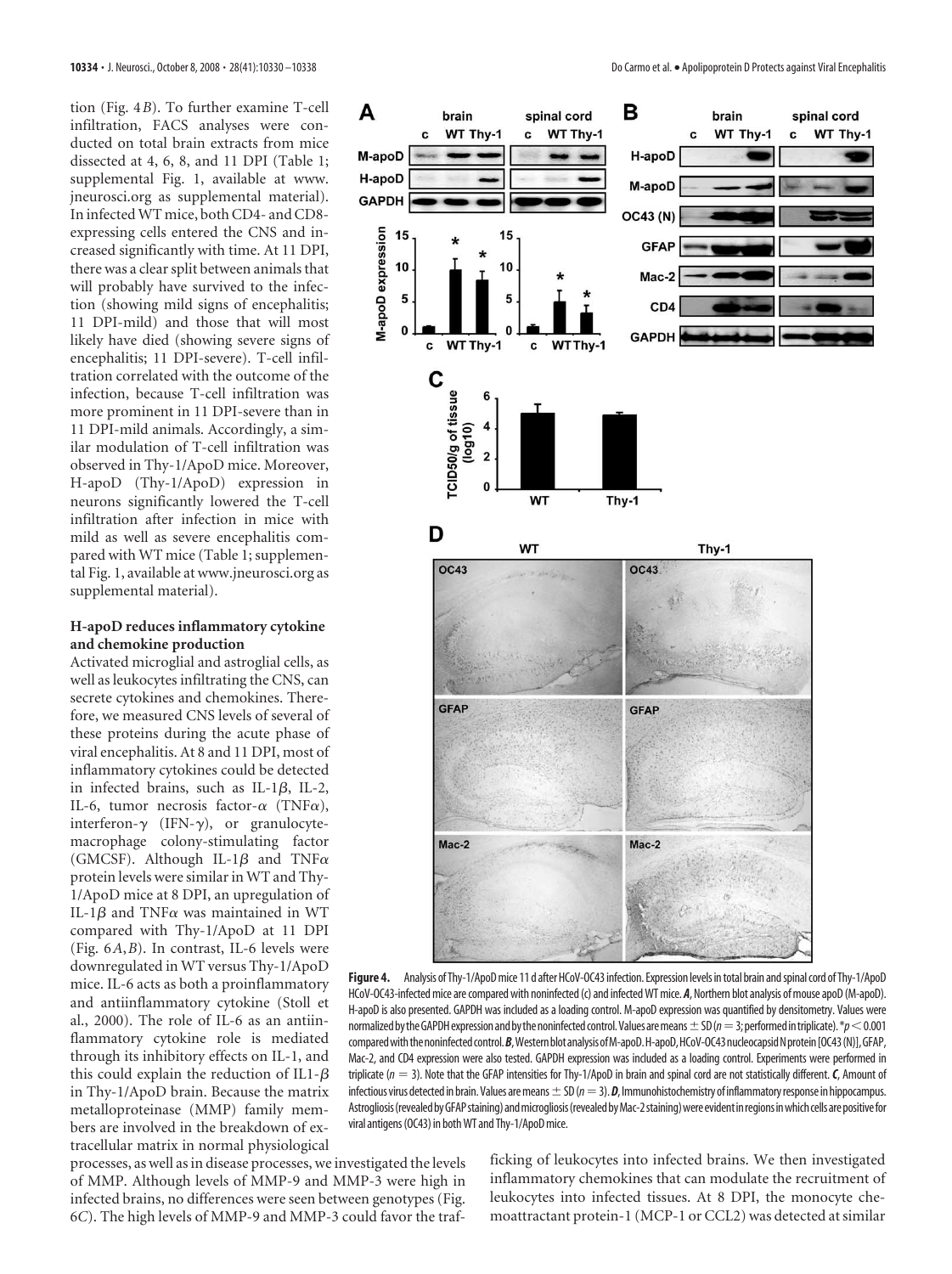tion (Fig. 4*B*). To further examine T-cell infiltration, FACS analyses were conducted on total brain extracts from mice dissected at 4, 6, 8, and 11 DPI (Table 1; supplemental Fig. 1, available at www. jneurosci.org as supplemental material). In infectedWT mice, both CD4- and CD8 expressing cells entered the CNS and increased significantly with time. At 11 DPI, there was a clear split between animals that will probably have survived to the infection (showing mild signs of encephalitis; 11 DPI-mild) and those that will most likely have died (showing severe signs of encephalitis; 11 DPI-severe). T-cell infiltration correlated with the outcome of the infection, because T-cell infiltration was more prominent in 11 DPI-severe than in 11 DPI-mild animals. Accordingly, a similar modulation of T-cell infiltration was observed in Thy-1/ApoD mice. Moreover, H-apoD (Thy-1/ApoD) expression in neurons significantly lowered the T-cell infiltration after infection in mice with mild as well as severe encephalitis compared with WT mice (Table 1; supplemental Fig. 1, available at www.jneurosci.org as supplemental material).

## **H-apoD reduces inflammatory cytokine and chemokine production**

Activated microglial and astroglial cells, as well as leukocytes infiltrating the CNS, can secrete cytokines and chemokines. Therefore, we measured CNS levels of several of these proteins during the acute phase of viral encephalitis. At 8 and 11 DPI, most of inflammatory cytokines could be detected in infected brains, such as IL-1 $\beta$ , IL-2, IL-6, tumor necrosis factor- $\alpha$  (TNF $\alpha$ ), interferon- $\gamma$  (IFN- $\gamma$ ), or granulocytemacrophage colony-stimulating factor (GMCSF). Although IL-1 $\beta$  and TNF $\alpha$ protein levels were similar in WT and Thy-1/ApoD mice at 8 DPI, an upregulation of IL-1 $\beta$  and TNF $\alpha$  was maintained in WT compared with Thy-1/ApoD at 11 DPI (Fig. 6*A*,*B*). In contrast, IL-6 levels were downregulated in WT versus Thy-1/ApoD mice. IL-6 acts as both a proinflammatory and antiinflammatory cytokine (Stoll et al., 2000). The role of IL-6 as an antiinflammatory cytokine role is mediated through its inhibitory effects on IL-1, and this could explain the reduction of IL1- $\beta$ in Thy-1/ApoD brain. Because the matrix metalloproteinase (MMP) family members are involved in the breakdown of extracellular matrix in normal physiological

processes, as well as in disease processes, we investigated the levels of MMP. Although levels of MMP-9 and MMP-3 were high in infected brains, no differences were seen between genotypes (Fig. 6*C*). The high levels of MMP-9 and MMP-3 could favor the traf-



Figure 4. Analysis of Thy-1/ApoD mice 11 d after HCoV-OC43 infection. Expression levels in total brain and spinal cord of Thy-1/ApoD HCoV-OC43-infected mice are compared with noninfected (c) and infected WT mice. **A**, Northern blot analysis of mouse apoD (M-apoD). H-apoD is also presented. GAPDH was included as a loading control. M-apoD expression was quantified by densitometry. Values were normalized by the GAPDH expression and by the noninfected control. Values are means  $\pm$  SD ( $n=3$ ; performed in triplicate).  $p<0.001$ compared with the noninfected control. B, Western blot analysis of M-apoD. H-apoD, HCoV-OC43 nucleocapsid N protein [OC43(N)], GFAP, Mac-2, and CD4 expression were also tested. GAPDH expression was included as a loading control. Experiments were performed in triplicate (*n* 3). Note that the GFAP intensities for Thy-1/ApoD in brain and spinal cord are not statistically different.*C*, Amount of infectious virus detected in brain. Values are means  $\pm$  SD ( $n=3$ ). *D*, Immunohistochemistry of inflammatory response in hippocampus. Astrogliosis (revealed by GFAP staining) and microgliosis (revealed by Mac-2 staining) were evident in regions in which cells are positive for viral antigens(OC43) in bothWT and Thy-1/ApoDmice.

ficking of leukocytes into infected brains. We then investigated inflammatory chemokines that can modulate the recruitment of leukocytes into infected tissues. At 8 DPI, the monocyte chemoattractant protein-1 (MCP-1 or CCL2) was detected at similar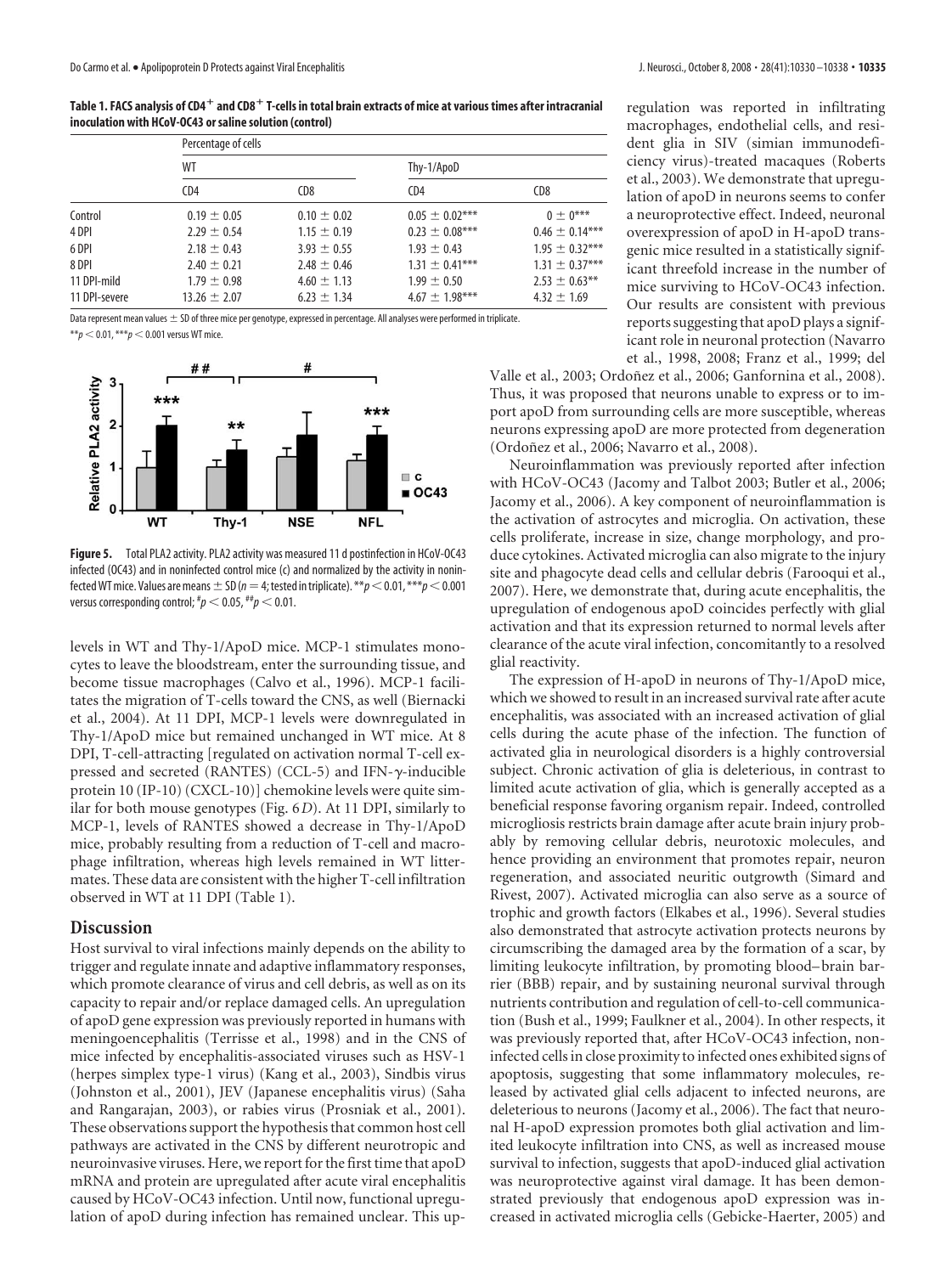**Table 1. FACS analysis of CD4 and CD8 T-cells in total brain extracts of mice at various times after intracranial inoculation with HCoV-OC43 or saline solution (control)**

| Percentage of cells |                 |                    |                    |
|---------------------|-----------------|--------------------|--------------------|
| WT                  |                 | Thy-1/ApoD         |                    |
| CD4                 | CD <sub>8</sub> | CD4                | CD <sub>8</sub>    |
| $0.19 \pm 0.05$     | $0.10 \pm 0.02$ | $0.05 \pm 0.02***$ | $0 + 0***$         |
| $2.29 \pm 0.54$     | $1.15 \pm 0.19$ | $0.23 \pm 0.08***$ | $0.46 \pm 0.14***$ |
| $2.18 \pm 0.43$     | $3.93 \pm 0.55$ | $1.93 \pm 0.43$    | $1.95 \pm 0.32***$ |
| $2.40 \pm 0.21$     | $2.48 \pm 0.46$ | $1.31 \pm 0.41***$ | $1.31 \pm 0.37***$ |
| $1.79 \pm 0.98$     | $4.60 \pm 1.13$ | $1.99 \pm 0.50$    | $2.53 \pm 0.63$ ** |
| $13.26 \pm 2.07$    | $6.23 \pm 1.34$ | $4.67 \pm 1.98***$ | $4.32 \pm 1.69$    |
|                     |                 |                    |                    |

Data represent mean values  $\pm$  SD of three mice per genotype, expressed in percentage. All analyses were performed in triplicate.  $**p < 0.01,***p < 0.001$  versus WT mice.





**Figure 5.** Total PLA2 activity. PLA2 activity was measured 11 d postinfection in HCoV-OC43 infected (OC43) and in noninfected control mice (c) and normalized by the activity in noninfected WT mice. Values are means  $\pm$  SD ( $n=4$ ; tested in triplicate). \*\* $p$  < 0.01, \*\*\* $p$  < 0.001 versus corresponding control;  $^{\#}p$   $<$  0.05,  $^{\#}p$   $<$  0.01.

levels in WT and Thy-1/ApoD mice. MCP-1 stimulates monocytes to leave the bloodstream, enter the surrounding tissue, and become tissue macrophages (Calvo et al., 1996). MCP-1 facilitates the migration of T-cells toward the CNS, as well (Biernacki et al., 2004). At 11 DPI, MCP-1 levels were downregulated in Thy-1/ApoD mice but remained unchanged in WT mice. At 8 DPI, T-cell-attracting [regulated on activation normal T-cell expressed and secreted (RANTES) (CCL-5) and IFN- $\gamma$ -inducible protein 10 (IP-10) (CXCL-10)] chemokine levels were quite similar for both mouse genotypes (Fig. 6*D*). At 11 DPI, similarly to MCP-1, levels of RANTES showed a decrease in Thy-1/ApoD mice, probably resulting from a reduction of T-cell and macrophage infiltration, whereas high levels remained in WT littermates. These data are consistent with the higher T-cell infiltration observed in WT at 11 DPI (Table 1).

# **Discussion**

Host survival to viral infections mainly depends on the ability to trigger and regulate innate and adaptive inflammatory responses, which promote clearance of virus and cell debris, as well as on its capacity to repair and/or replace damaged cells. An upregulation of apoD gene expression was previously reported in humans with meningoencephalitis (Terrisse et al., 1998) and in the CNS of mice infected by encephalitis-associated viruses such as HSV-1 (herpes simplex type-1 virus) (Kang et al., 2003), Sindbis virus (Johnston et al., 2001), JEV (Japanese encephalitis virus) (Saha and Rangarajan, 2003), or rabies virus (Prosniak et al., 2001). These observations support the hypothesis that common host cell pathways are activated in the CNS by different neurotropic and neuroinvasive viruses. Here, we report for the first time that apoD mRNA and protein are upregulated after acute viral encephalitis caused by HCoV-OC43 infection. Until now, functional upregulation of apoD during infection has remained unclear. This upregulation was reported in infiltrating macrophages, endothelial cells, and resident glia in SIV (simian immunodeficiency virus)-treated macaques (Roberts et al., 2003). We demonstrate that upregulation of apoD in neurons seems to confer a neuroprotective effect. Indeed, neuronal overexpression of apoD in H-apoD transgenic mice resulted in a statistically significant threefold increase in the number of mice surviving to HCoV-OC43 infection. Our results are consistent with previous reports suggesting that apoD plays a significant role in neuronal protection (Navarro et al., 1998, 2008; Franz et al., 1999; del

Valle et al., 2003; Ordoñez et al., 2006; Ganfornina et al., 2008). Thus, it was proposed that neurons unable to express or to import apoD from surrounding cells are more susceptible, whereas neurons expressing apoD are more protected from degeneration (Ordoñez et al., 2006; Navarro et al., 2008).

Neuroinflammation was previously reported after infection with HCoV-OC43 (Jacomy and Talbot 2003; Butler et al., 2006; Jacomy et al., 2006). A key component of neuroinflammation is the activation of astrocytes and microglia. On activation, these cells proliferate, increase in size, change morphology, and produce cytokines. Activated microglia can also migrate to the injury site and phagocyte dead cells and cellular debris (Farooqui et al., 2007). Here, we demonstrate that, during acute encephalitis, the upregulation of endogenous apoD coincides perfectly with glial activation and that its expression returned to normal levels after clearance of the acute viral infection, concomitantly to a resolved glial reactivity.

The expression of H-apoD in neurons of Thy-1/ApoD mice, which we showed to result in an increased survival rate after acute encephalitis, was associated with an increased activation of glial cells during the acute phase of the infection. The function of activated glia in neurological disorders is a highly controversial subject. Chronic activation of glia is deleterious, in contrast to limited acute activation of glia, which is generally accepted as a beneficial response favoring organism repair. Indeed, controlled microgliosis restricts brain damage after acute brain injury probably by removing cellular debris, neurotoxic molecules, and hence providing an environment that promotes repair, neuron regeneration, and associated neuritic outgrowth (Simard and Rivest, 2007). Activated microglia can also serve as a source of trophic and growth factors (Elkabes et al., 1996). Several studies also demonstrated that astrocyte activation protects neurons by circumscribing the damaged area by the formation of a scar, by limiting leukocyte infiltration, by promoting blood– brain barrier (BBB) repair, and by sustaining neuronal survival through nutrients contribution and regulation of cell-to-cell communication (Bush et al., 1999; Faulkner et al., 2004). In other respects, it was previously reported that, after HCoV-OC43 infection, noninfected cells in close proximity to infected ones exhibited signs of apoptosis, suggesting that some inflammatory molecules, released by activated glial cells adjacent to infected neurons, are deleterious to neurons (Jacomy et al., 2006). The fact that neuronal H-apoD expression promotes both glial activation and limited leukocyte infiltration into CNS, as well as increased mouse survival to infection, suggests that apoD-induced glial activation was neuroprotective against viral damage. It has been demonstrated previously that endogenous apoD expression was increased in activated microglia cells (Gebicke-Haerter, 2005) and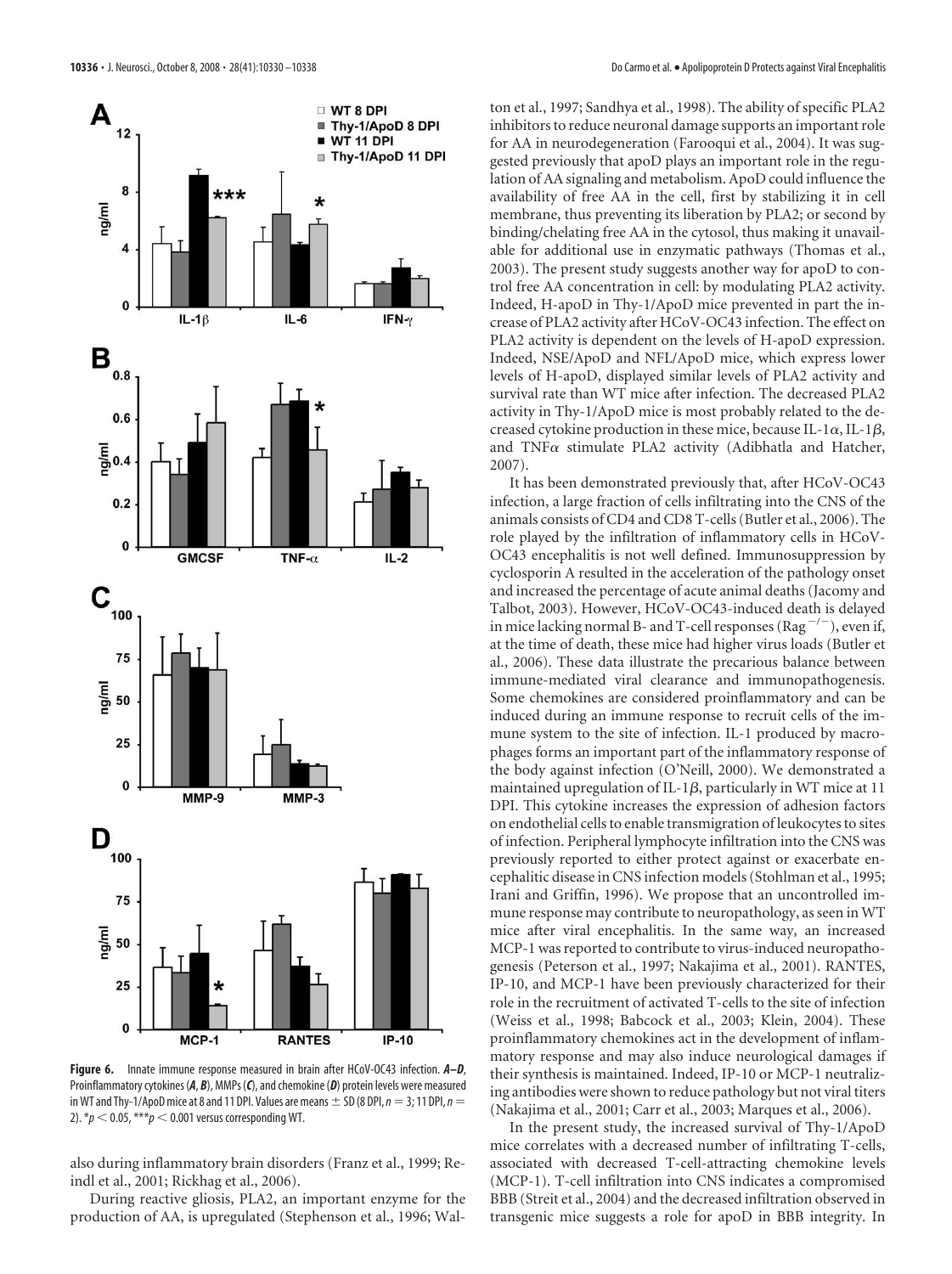

**Figure 6.** Innate immune response measured in brain after HCoV-OC43 infection. *A–D*, Proinflammatory cytokines (*A*, *B*), MMPs (*C*), and chemokine (*D*) protein levels were measured in WT and Thy-1/ApoD mice at 8 and 11 DPI. Values are means  $\pm$  SD (8 DPI,  $n=3$ ; 11 DPI,  $n=$ 2).  $* p < 0.05$ ,  $** p < 0.001$  versus corresponding WT.

also during inflammatory brain disorders (Franz et al., 1999; Reindl et al., 2001; Rickhag et al., 2006).

During reactive gliosis, PLA2, an important enzyme for the production of AA, is upregulated (Stephenson et al., 1996; Walton et al., 1997; Sandhya et al., 1998). The ability of specific PLA2 inhibitors to reduce neuronal damage supports an important role for AA in neurodegeneration (Farooqui et al., 2004). It was suggested previously that apoD plays an important role in the regulation of AA signaling and metabolism. ApoD could influence the availability of free AA in the cell, first by stabilizing it in cell membrane, thus preventing its liberation by PLA2; or second by binding/chelating free AA in the cytosol, thus making it unavailable for additional use in enzymatic pathways (Thomas et al., 2003). The present study suggests another way for apoD to control free AA concentration in cell: by modulating PLA2 activity. Indeed, H-apoD in Thy-1/ApoD mice prevented in part the increase of PLA2 activity after HCoV-OC43 infection. The effect on PLA2 activity is dependent on the levels of H-apoD expression. Indeed, NSE/ApoD and NFL/ApoD mice, which express lower levels of H-apoD, displayed similar levels of PLA2 activity and survival rate than WT mice after infection. The decreased PLA2 activity in Thy-1/ApoD mice is most probably related to the decreased cytokine production in these mice, because IL-1 $\alpha$ , IL-1 $\beta$ , and  $TNF\alpha$  stimulate PLA2 activity (Adibhatla and Hatcher, 2007).

It has been demonstrated previously that, after HCoV-OC43 infection, a large fraction of cells infiltrating into the CNS of the animals consists of CD4 and CD8 T-cells (Butler et al., 2006). The role played by the infiltration of inflammatory cells in HCoV-OC43 encephalitis is not well defined. Immunosuppression by cyclosporin A resulted in the acceleration of the pathology onset and increased the percentage of acute animal deaths (Jacomy and Talbot, 2003). However, HCoV-OC43-induced death is delayed in mice lacking normal B- and T-cell responses (Rag<sup>-/-</sup>), even if, at the time of death, these mice had higher virus loads (Butler et al., 2006). These data illustrate the precarious balance between immune-mediated viral clearance and immunopathogenesis. Some chemokines are considered proinflammatory and can be induced during an immune response to recruit cells of the immune system to the site of infection. IL-1 produced by macrophages forms an important part of the inflammatory response of the body against infection (O'Neill, 2000). We demonstrated a maintained upregulation of IL-1 $\beta$ , particularly in WT mice at 11 DPI. This cytokine increases the expression of adhesion factors on endothelial cells to enable transmigration of leukocytes to sites of infection. Peripheral lymphocyte infiltration into the CNS was previously reported to either protect against or exacerbate encephalitic disease in CNS infection models (Stohlman et al., 1995; Irani and Griffin, 1996). We propose that an uncontrolled immune response may contribute to neuropathology, as seen in WT mice after viral encephalitis. In the same way, an increased MCP-1 was reported to contribute to virus-induced neuropathogenesis (Peterson et al., 1997; Nakajima et al., 2001). RANTES, IP-10, and MCP-1 have been previously characterized for their role in the recruitment of activated T-cells to the site of infection (Weiss et al., 1998; Babcock et al., 2003; Klein, 2004). These proinflammatory chemokines act in the development of inflammatory response and may also induce neurological damages if their synthesis is maintained. Indeed, IP-10 or MCP-1 neutralizing antibodies were shown to reduce pathology but not viral titers (Nakajima et al., 2001; Carr et al., 2003; Marques et al., 2006).

In the present study, the increased survival of Thy-1/ApoD mice correlates with a decreased number of infiltrating T-cells, associated with decreased T-cell-attracting chemokine levels (MCP-1). T-cell infiltration into CNS indicates a compromised BBB (Streit et al., 2004) and the decreased infiltration observed in transgenic mice suggests a role for apoD in BBB integrity. In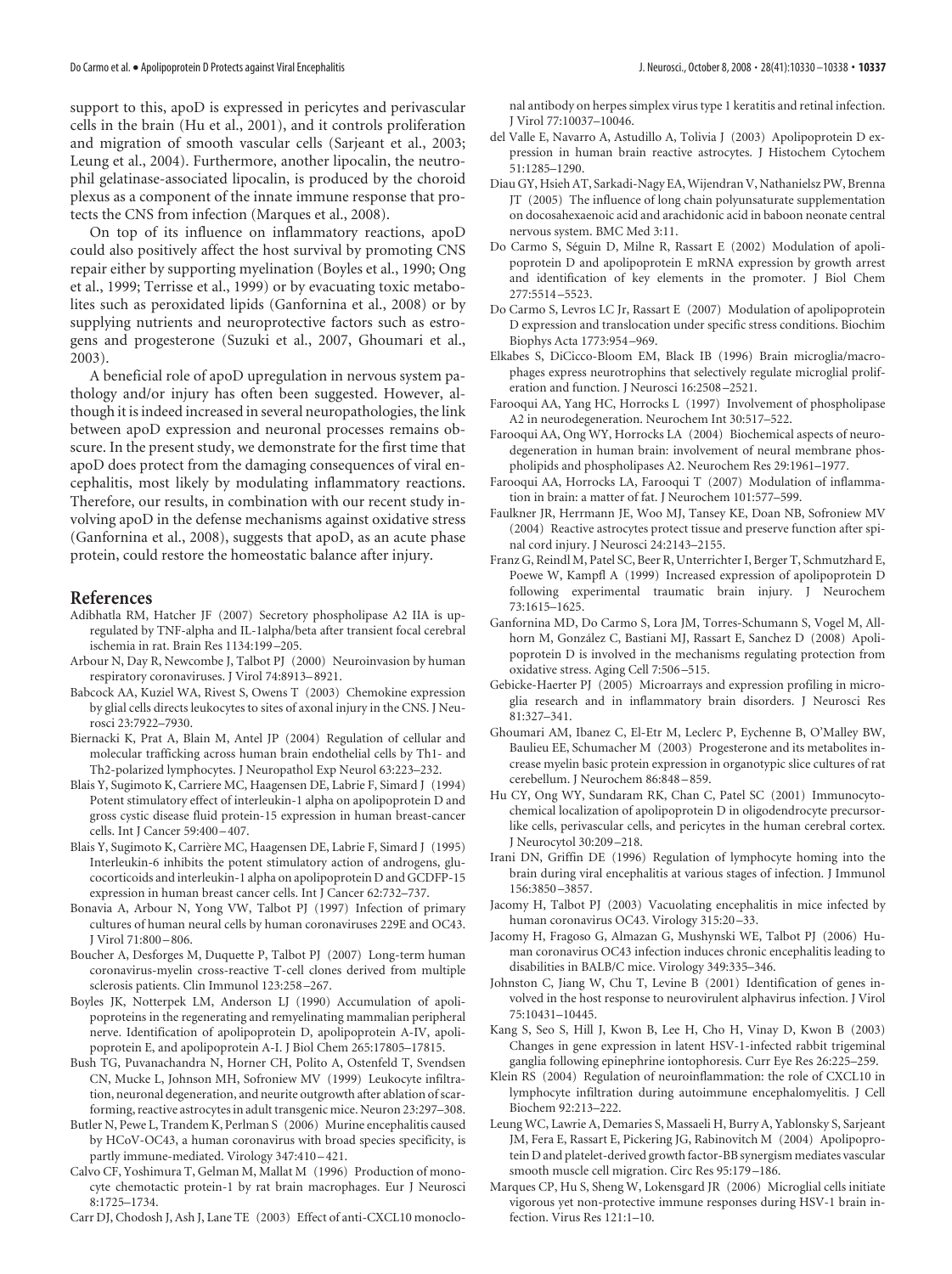support to this, apoD is expressed in pericytes and perivascular cells in the brain (Hu et al., 2001), and it controls proliferation and migration of smooth vascular cells (Sarjeant et al., 2003; Leung et al., 2004). Furthermore, another lipocalin, the neutrophil gelatinase-associated lipocalin, is produced by the choroid plexus as a component of the innate immune response that protects the CNS from infection (Marques et al., 2008).

On top of its influence on inflammatory reactions, apoD could also positively affect the host survival by promoting CNS repair either by supporting myelination (Boyles et al., 1990; Ong et al., 1999; Terrisse et al., 1999) or by evacuating toxic metabolites such as peroxidated lipids (Ganfornina et al., 2008) or by supplying nutrients and neuroprotective factors such as estrogens and progesterone (Suzuki et al., 2007, Ghoumari et al., 2003).

A beneficial role of apoD upregulation in nervous system pathology and/or injury has often been suggested. However, although it is indeed increased in several neuropathologies, the link between apoD expression and neuronal processes remains obscure. In the present study, we demonstrate for the first time that apoD does protect from the damaging consequences of viral encephalitis, most likely by modulating inflammatory reactions. Therefore, our results, in combination with our recent study involving apoD in the defense mechanisms against oxidative stress (Ganfornina et al., 2008), suggests that apoD, as an acute phase protein, could restore the homeostatic balance after injury.

## **References**

- Adibhatla RM, Hatcher JF (2007) Secretory phospholipase A2 IIA is upregulated by TNF-alpha and IL-1alpha/beta after transient focal cerebral ischemia in rat. Brain Res 1134:199 –205.
- Arbour N, Day R, Newcombe J, Talbot PJ (2000) Neuroinvasion by human respiratory coronaviruses. J Virol 74:8913–8921.
- Babcock AA, Kuziel WA, Rivest S, Owens T (2003) Chemokine expression by glial cells directs leukocytes to sites of axonal injury in the CNS. J Neurosci 23:7922–7930.
- Biernacki K, Prat A, Blain M, Antel JP (2004) Regulation of cellular and molecular trafficking across human brain endothelial cells by Th1- and Th2-polarized lymphocytes. J Neuropathol Exp Neurol 63:223–232.
- Blais Y, Sugimoto K, Carriere MC, Haagensen DE, Labrie F, Simard J (1994) Potent stimulatory effect of interleukin-1 alpha on apolipoprotein D and gross cystic disease fluid protein-15 expression in human breast-cancer cells. Int J Cancer 59:400 –407.
- Blais Y, Sugimoto K, Carrière MC, Haagensen DE, Labrie F, Simard J (1995) Interleukin-6 inhibits the potent stimulatory action of androgens, glucocorticoids and interleukin-1 alpha on apolipoprotein D and GCDFP-15 expression in human breast cancer cells. Int J Cancer 62:732–737.
- Bonavia A, Arbour N, Yong VW, Talbot PJ (1997) Infection of primary cultures of human neural cells by human coronaviruses 229E and OC43. J Virol 71:800 –806.
- Boucher A, Desforges M, Duquette P, Talbot PJ (2007) Long-term human coronavirus-myelin cross-reactive T-cell clones derived from multiple sclerosis patients. Clin Immunol 123:258 –267.
- Boyles JK, Notterpek LM, Anderson LJ (1990) Accumulation of apolipoproteins in the regenerating and remyelinating mammalian peripheral nerve. Identification of apolipoprotein D, apolipoprotein A-IV, apolipoprotein E, and apolipoprotein A-I. J Biol Chem 265:17805–17815.
- Bush TG, Puvanachandra N, Horner CH, Polito A, Ostenfeld T, Svendsen CN, Mucke L, Johnson MH, Sofroniew MV (1999) Leukocyte infiltration, neuronal degeneration, and neurite outgrowth after ablation of scarforming, reactive astrocytes in adult transgenic mice. Neuron 23:297–308.
- Butler N, Pewe L, Trandem K, Perlman S (2006) Murine encephalitis caused by HCoV-OC43, a human coronavirus with broad species specificity, is partly immune-mediated. Virology 347:410 –421.
- Calvo CF, Yoshimura T, Gelman M, Mallat M (1996) Production of monocyte chemotactic protein-1 by rat brain macrophages. Eur J Neurosci 8:1725–1734.
- Carr DJ, Chodosh J, Ash J, Lane TE (2003) Effect of anti-CXCL10 monoclo-

nal antibody on herpes simplex virus type 1 keratitis and retinal infection. J Virol 77:10037–10046.

- del Valle E, Navarro A, Astudillo A, Tolivia J (2003) Apolipoprotein D expression in human brain reactive astrocytes. J Histochem Cytochem 51:1285–1290.
- Diau GY, Hsieh AT, Sarkadi-Nagy EA, Wijendran V, Nathanielsz PW, Brenna JT (2005) The influence of long chain polyunsaturate supplementation on docosahexaenoic acid and arachidonic acid in baboon neonate central nervous system. BMC Med 3:11.
- Do Carmo S, Séguin D, Milne R, Rassart E (2002) Modulation of apolipoprotein D and apolipoprotein E mRNA expression by growth arrest and identification of key elements in the promoter. J Biol Chem 277:5514 –5523.
- Do Carmo S, Levros LC Jr, Rassart E (2007) Modulation of apolipoprotein D expression and translocation under specific stress conditions. Biochim Biophys Acta 1773:954 –969.
- Elkabes S, DiCicco-Bloom EM, Black IB (1996) Brain microglia/macrophages express neurotrophins that selectively regulate microglial proliferation and function. J Neurosci 16:2508 –2521.
- Farooqui AA, Yang HC, Horrocks L (1997) Involvement of phospholipase A2 in neurodegeneration. Neurochem Int 30:517–522.
- Farooqui AA, Ong WY, Horrocks LA (2004) Biochemical aspects of neurodegeneration in human brain: involvement of neural membrane phospholipids and phospholipases A2. Neurochem Res 29:1961–1977.
- Farooqui AA, Horrocks LA, Farooqui T (2007) Modulation of inflammation in brain: a matter of fat. J Neurochem 101:577–599.
- Faulkner JR, Herrmann JE, Woo MJ, Tansey KE, Doan NB, Sofroniew MV (2004) Reactive astrocytes protect tissue and preserve function after spinal cord injury. J Neurosci 24:2143–2155.
- Franz G, Reindl M, Patel SC, Beer R, Unterrichter I, Berger T, Schmutzhard E, Poewe W, Kampfl A (1999) Increased expression of apolipoprotein D following experimental traumatic brain injury. J Neurochem 73:1615–1625.
- Ganfornina MD, Do Carmo S, Lora JM, Torres-Schumann S, Vogel M, Allhorn M, González C, Bastiani MJ, Rassart E, Sanchez D (2008) Apolipoprotein D is involved in the mechanisms regulating protection from oxidative stress. Aging Cell 7:506 –515.
- Gebicke-Haerter PJ (2005) Microarrays and expression profiling in microglia research and in inflammatory brain disorders. J Neurosci Res 81:327–341.
- Ghoumari AM, Ibanez C, El-Etr M, Leclerc P, Eychenne B, O'Malley BW, Baulieu EE, Schumacher M (2003) Progesterone and its metabolites increase myelin basic protein expression in organotypic slice cultures of rat cerebellum. J Neurochem 86:848 –859.
- Hu CY, Ong WY, Sundaram RK, Chan C, Patel SC (2001) Immunocytochemical localization of apolipoprotein D in oligodendrocyte precursorlike cells, perivascular cells, and pericytes in the human cerebral cortex. J Neurocytol 30:209 –218.
- Irani DN, Griffin DE (1996) Regulation of lymphocyte homing into the brain during viral encephalitis at various stages of infection. J Immunol 156:3850 –3857.
- Jacomy H, Talbot PJ (2003) Vacuolating encephalitis in mice infected by human coronavirus OC43. Virology 315:20 –33.
- Jacomy H, Fragoso G, Almazan G, Mushynski WE, Talbot PJ (2006) Human coronavirus OC43 infection induces chronic encephalitis leading to disabilities in BALB/C mice. Virology 349:335–346.
- Johnston C, Jiang W, Chu T, Levine B (2001) Identification of genes involved in the host response to neurovirulent alphavirus infection. J Virol 75:10431–10445.
- Kang S, Seo S, Hill J, Kwon B, Lee H, Cho H, Vinay D, Kwon B (2003) Changes in gene expression in latent HSV-1-infected rabbit trigeminal ganglia following epinephrine iontophoresis. Curr Eye Res 26:225–259.
- Klein RS (2004) Regulation of neuroinflammation: the role of CXCL10 in lymphocyte infiltration during autoimmune encephalomyelitis. J Cell Biochem 92:213–222.
- Leung WC, Lawrie A, Demaries S, Massaeli H, Burry A, Yablonsky S, Sarjeant JM, Fera E, Rassart E, Pickering JG, Rabinovitch M (2004) Apolipoprotein D and platelet-derived growth factor-BB synergism mediates vascular smooth muscle cell migration. Circ Res 95:179 –186.
- Marques CP, Hu S, Sheng W, Lokensgard JR (2006) Microglial cells initiate vigorous yet non-protective immune responses during HSV-1 brain infection. Virus Res 121:1–10.